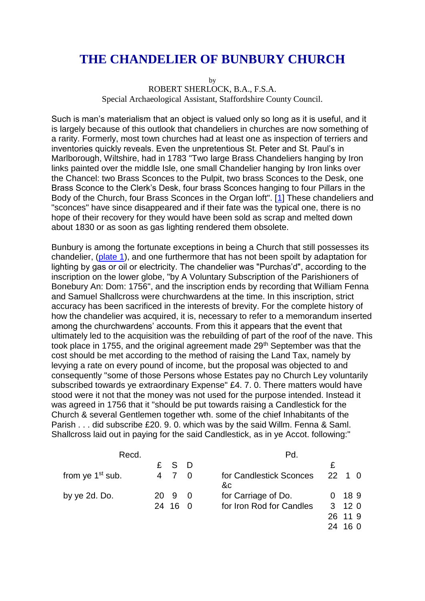## **THE CHANDELIER OF BUNBURY CHURCH**

by

ROBERT SHERLOCK, B.A., F.S.A. Special Archaeological Assistant, Staffordshire County Council.

Such is man's materialism that an object is valued only so long as it is useful, and it is largely because of this outlook that chandeliers in churches are now something of a rarity. Formerly, most town churches had at least one as inspection of terriers and inventories quickly reveals. Even the unpretentious St. Peter and St. Paul's in Marlborough, Wiltshire, had in 1783 "Two large Brass Chandeliers hanging by Iron links painted over the middle Isle, one small Chandelier hanging by Iron links over the Chancel: two Brass Sconces to the Pulpit, two brass Sconces to the Desk, one Brass Sconce to the Clerk's Desk, four brass Sconces hanging to four Pillars in the Body of the Church, four Brass Sconces in the Organ loft". [\[1\]](file:///C:/Users/matt/OneDrive/Documents/gemma/st%20boniface/Bunbury/papers/Chandelier.htm%23anchor49436) These chandeliers and "sconces" have since disappeared and if their fate was the typical one, there is no hope of their recovery for they would have been sold as scrap and melted down about 1830 or as soon as gas lighting rendered them obsolete.

Bunbury is among the fortunate exceptions in being a Church that still possesses its chandelier, [\(plate 1\)](file:///C:/Users/matt/OneDrive/Documents/gemma/st%20boniface/Bunbury/papers/Chandelier.htm%23anchor21262), and one furthermore that has not been spoilt by adaptation for lighting by gas or oil or electricity. The chandelier was "Purchas'd", according to the inscription on the lower globe, "by A Voluntary Subscription of the Parishioners of Bonebury An: Dom: 1756", and the inscription ends by recording that William Fenna and Samuel Shallcross were churchwardens at the time. In this inscription, strict accuracy has been sacrificed in the interests of brevity. For the complete history of how the chandelier was acquired, it is, necessary to refer to a memorandum inserted among the churchwardens' accounts. From this it appears that the event that ultimately led to the acquisition was the rebuilding of part of the roof of the nave. This took place in 1755, and the original agreement made 29<sup>th</sup> September was that the cost should be met according to the method of raising the Land Tax, namely by levying a rate on every pound of income, but the proposal was objected to and consequently "some of those Persons whose Estates pay no Church Ley voluntarily subscribed towards ye extraordinary Expense" £4. 7. 0. There matters would have stood were it not that the money was not used for the purpose intended. Instead it was agreed in 1756 that it "should be put towards raising a Candlestick for the Church & several Gentlemen together wth. some of the chief Inhabitants of the Parish . . . did subscribe £20. 9. 0. which was by the said Willm. Fenna & Saml. Shallcross laid out in paying for the said Candlestick, as in ye Accot. following:"

| Recd.                        |      |           |            | Pd.                            |                      |
|------------------------------|------|-----------|------------|--------------------------------|----------------------|
|                              |      | £ S D     |            |                                |                      |
| from ye 1 <sup>st</sup> sub. |      |           |            | for Candlestick Sconces<br>&c. | $22 \quad 1 \quad 0$ |
| by ye 2d. Do.                | 20 9 |           | $\bigcirc$ | for Carriage of Do.            | 0, 18.9              |
|                              |      | 24, 16, 0 |            | for Iron Rod for Candles       | $3 \t120$            |
|                              |      |           |            | 26.                            | 11.9                 |

24 16 0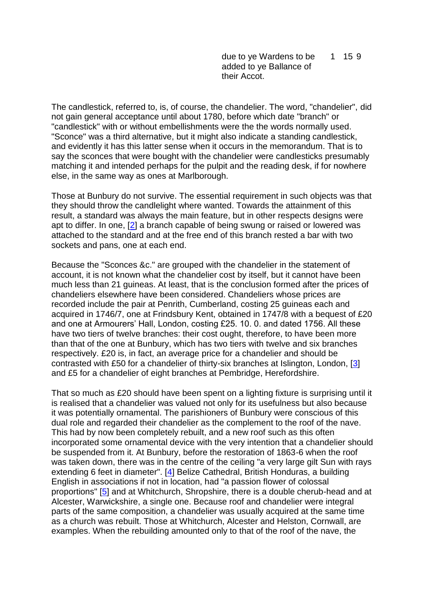due to ye Wardens to be added to ye Ballance of their Accot. 1 15 9

The candlestick, referred to, is, of course, the chandelier. The word, "chandelier", did not gain general acceptance until about 1780, before which date "branch" or "candlestick" with or without embellishments were the the words normally used. "Sconce" was a third alternative, but it might also indicate a standing candlestick, and evidently it has this latter sense when it occurs in the memorandum. That is to say the sconces that were bought with the chandelier were candlesticks presumably matching it and intended perhaps for the pulpit and the reading desk, if for nowhere else, in the same way as ones at Marlborough.

Those at Bunbury do not survive. The essential requirement in such objects was that they should throw the candlelight where wanted. Towards the attainment of this result, a standard was always the main feature, but in other respects designs were apt to differ. In one, [\[2\]](file:///C:/Users/matt/OneDrive/Documents/gemma/st%20boniface/Bunbury/papers/Chandelier.htm%23anchor51997) a branch capable of being swung or raised or lowered was attached to the standard and at the free end of this branch rested a bar with two sockets and pans, one at each end.

Because the "Sconces &c." are grouped with the chandelier in the statement of account, it is not known what the chandelier cost by itself, but it cannot have been much less than 21 guineas. At least, that is the conclusion formed after the prices of chandeliers elsewhere have been considered. Chandeliers whose prices are recorded include the pair at Penrith, Cumberland, costing 25 guineas each and acquired in 1746/7, one at Frindsbury Kent, obtained in 1747/8 with a bequest of £20 and one at Armourers' Hall, London, costing £25. 10. 0. and dated 1756. All these have two tiers of twelve branches: their cost ought, therefore, to have been more than that of the one at Bunbury, which has two tiers with twelve and six branches respectively. £20 is, in fact, an average price for a chandelier and should be contrasted with £50 for a chandelier of thirty-six branches at Islington, London, [\[3\]](file:///C:/Users/matt/OneDrive/Documents/gemma/st%20boniface/Bunbury/papers/Chandelier.htm%23anchor54237) and £5 for a chandelier of eight branches at Pembridge, Herefordshire.

That so much as £20 should have been spent on a lighting fixture is surprising until it is realised that a chandelier was valued not only for its usefulness but also because it was potentially ornamental. The parishioners of Bunbury were conscious of this dual role and regarded their chandelier as the complement to the roof of the nave. This had by now been completely rebuilt, and a new roof such as this often incorporated some ornamental device with the very intention that a chandelier should be suspended from it. At Bunbury, before the restoration of 1863-6 when the roof was taken down, there was in the centre of the ceiling "a very large gilt Sun with rays extending 6 feet in diameter". [\[4\]](file:///C:/Users/matt/OneDrive/Documents/gemma/st%20boniface/Bunbury/papers/Chandelier.htm%23anchor56433) Belize Cathedral, British Honduras, a building English in associations if not in location, had "a passion flower of colossal proportions" [\[5\]](file:///C:/Users/matt/OneDrive/Documents/gemma/st%20boniface/Bunbury/papers/Chandelier.htm%23anchor58363) and at Whitchurch, Shropshire, there is a double cherub-head and at Alcester, Warwickshire, a single one. Because roof and chandelier were integral parts of the same composition, a chandelier was usually acquired at the same time as a church was rebuilt. Those at Whitchurch, Alcester and Helston, Cornwall, are examples. When the rebuilding amounted only to that of the roof of the nave, the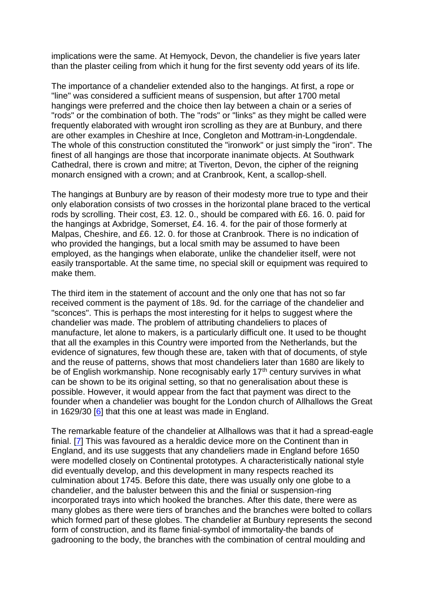implications were the same. At Hemyock, Devon, the chandelier is five years later than the plaster ceiling from which it hung for the first seventy odd years of its life.

The importance of a chandelier extended also to the hangings. At first, a rope or "line" was considered a sufficient means of suspension, but after 1700 metal hangings were preferred and the choice then lay between a chain or a series of "rods" or the combination of both. The "rods" or "links" as they might be called were frequently elaborated with wrought iron scrolling as they are at Bunbury, and there are other examples in Cheshire at Ince, Congleton and Mottram-in-Longdendale. The whole of this construction constituted the "ironwork" or just simply the "iron". The finest of all hangings are those that incorporate inanimate objects. At Southwark Cathedral, there is crown and mitre; at Tiverton, Devon, the cipher of the reigning monarch ensigned with a crown; and at Cranbrook, Kent, a scallop-shell.

The hangings at Bunbury are by reason of their modesty more true to type and their only elaboration consists of two crosses in the horizontal plane braced to the vertical rods by scrolling. Their cost, £3. 12. 0., should be compared with £6. 16. 0. paid for the hangings at Axbridge, Somerset, £4. 16. 4. for the pair of those formerly at Malpas, Cheshire, and £6. 12. 0. for those at Cranbrook. There is no indication of who provided the hangings, but a local smith may be assumed to have been employed, as the hangings when elaborate, unlike the chandelier itself, were not easily transportable. At the same time, no special skill or equipment was required to make them.

The third item in the statement of account and the only one that has not so far received comment is the payment of 18s. 9d. for the carriage of the chandelier and "sconces". This is perhaps the most interesting for it helps to suggest where the chandelier was made. The problem of attributing chandeliers to places of manufacture, let alone to makers, is a particularly difficult one. It used to be thought that all the examples in this Country were imported from the Netherlands, but the evidence of signatures, few though these are, taken with that of documents, of style and the reuse of patterns, shows that most chandeliers later than 1680 are likely to be of English workmanship. None recognisably early 17<sup>th</sup> century survives in what can be shown to be its original setting, so that no generalisation about these is possible. However, it would appear from the fact that payment was direct to the founder when a chandelier was bought for the London church of Allhallows the Great in 1629/30 [\[6\]](file:///C:/Users/matt/OneDrive/Documents/gemma/st%20boniface/Bunbury/papers/Chandelier.htm%23anchor60615) that this one at least was made in England.

The remarkable feature of the chandelier at Allhallows was that it had a spread-eagle finial. [\[7\]](file:///C:/Users/matt/OneDrive/Documents/gemma/st%20boniface/Bunbury/papers/Chandelier.htm%23anchor63554) This was favoured as a heraldic device more on the Continent than in England, and its use suggests that any chandeliers made in England before 1650 were modelled closely on Continental prototypes. A characteristically national style did eventually develop, and this development in many respects reached its culmination about 1745. Before this date, there was usually only one globe to a chandelier, and the baluster between this and the finial or suspension-ring incorporated trays into which hooked the branches. After this date, there were as many globes as there were tiers of branches and the branches were bolted to collars which formed part of these globes. The chandelier at Bunbury represents the second form of construction, and its flame finial-symbol of immortality-the bands of gadrooning to the body, the branches with the combination of central moulding and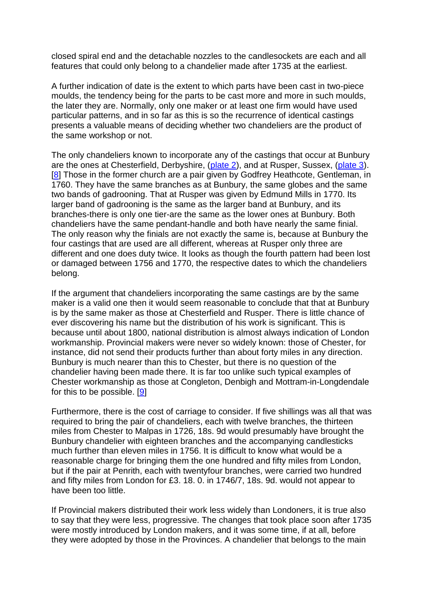closed spiral end and the detachable nozzles to the candlesockets are each and all features that could only belong to a chandelier made after 1735 at the earliest.

A further indication of date is the extent to which parts have been cast in two-piece moulds, the tendency being for the parts to be cast more and more in such moulds, the later they are. Normally, only one maker or at least one firm would have used particular patterns, and in so far as this is so the recurrence of identical castings presents a valuable means of deciding whether two chandeliers are the product of the same workshop or not.

The only chandeliers known to incorporate any of the castings that occur at Bunbury are the ones at Chesterfield, Derbyshire, [\(plate 2\)](file:///C:/Users/matt/OneDrive/Documents/gemma/st%20boniface/Bunbury/papers/Chandelier.htm%23anchor31735), and at Rusper, Sussex, [\(plate 3\)](file:///C:/Users/matt/OneDrive/Documents/gemma/st%20boniface/Bunbury/papers/Chandelier.htm%23anchor32203). [\[8\]](file:///C:/Users/matt/OneDrive/Documents/gemma/st%20boniface/Bunbury/papers/Chandelier.htm%23anchor64355) Those in the former church are a pair given by Godfrey Heathcote, Gentleman, in 1760. They have the same branches as at Bunbury, the same globes and the same two bands of gadrooning. That at Rusper was given by Edmund Mills in 1770. Its larger band of gadrooning is the same as the larger band at Bunbury, and its branches-there is only one tier-are the same as the lower ones at Bunbury. Both chandeliers have the same pendant-handle and both have nearly the same finial. The only reason why the finials are not exactly the same is, because at Bunbury the four castings that are used are all different, whereas at Rusper only three are different and one does duty twice. It looks as though the fourth pattern had been lost or damaged between 1756 and 1770, the respective dates to which the chandeliers belong.

If the argument that chandeliers incorporating the same castings are by the same maker is a valid one then it would seem reasonable to conclude that that at Bunbury is by the same maker as those at Chesterfield and Rusper. There is little chance of ever discovering his name but the distribution of his work is significant. This is because until about 1800, national distribution is almost always indication of London workmanship. Provincial makers were never so widely known: those of Chester, for instance, did not send their products further than about forty miles in any direction. Bunbury is much nearer than this to Chester, but there is no question of the chandelier having been made there. It is far too unlike such typical examples of Chester workmanship as those at Congleton, Denbigh and Mottram-in-Longdendale for this to be possible. [\[9\]](file:///C:/Users/matt/OneDrive/Documents/gemma/st%20boniface/Bunbury/papers/Chandelier.htm%23anchor65452)

Furthermore, there is the cost of carriage to consider. If five shillings was all that was required to bring the pair of chandeliers, each with twelve branches, the thirteen miles from Chester to Malpas in 1726, 18s. 9d would presumably have brought the Bunbury chandelier with eighteen branches and the accompanying candlesticks much further than eleven miles in 1756. It is difficult to know what would be a reasonable charge for bringing them the one hundred and fifty miles from London, but if the pair at Penrith, each with twentyfour branches, were carried two hundred and fifty miles from London for £3. 18. 0. in 1746/7, 18s. 9d. would not appear to have been too little.

If Provincial makers distributed their work less widely than Londoners, it is true also to say that they were less, progressive. The changes that took place soon after 1735 were mostly introduced by London makers, and it was some time, if at all, before they were adopted by those in the Provinces. A chandelier that belongs to the main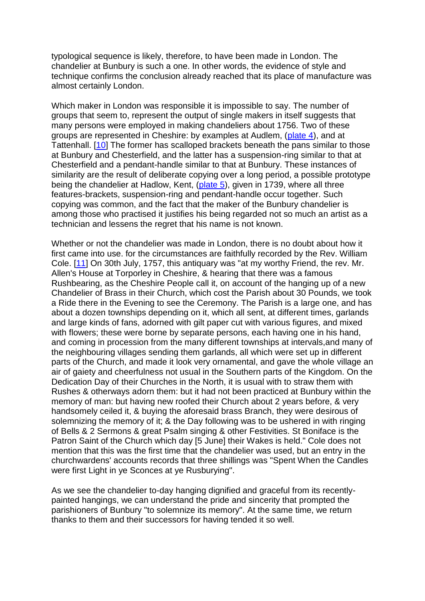typological sequence is likely, therefore, to have been made in London. The chandelier at Bunbury is such a one. In other words, the evidence of style and technique confirms the conclusion already reached that its place of manufacture was almost certainly London.

Which maker in London was responsible it is impossible to say. The number of groups that seem to, represent the output of single makers in itself suggests that many persons were employed in making chandeliers about 1756. Two of these groups are represented in Cheshire: by examples at Audlem, [\(plate 4\)](file:///C:/Users/matt/OneDrive/Documents/gemma/st%20boniface/Bunbury/papers/Chandelier.htm%23anchor37134), and at Tattenhall. [\[10\]](file:///C:/Users/matt/OneDrive/Documents/gemma/st%20boniface/Bunbury/papers/Chandelier.htm%23anchor66774) The former has scalloped brackets beneath the pans similar to those at Bunbury and Chesterfield, and the latter has a suspension-ring similar to that at Chesterfield and a pendant-handle similar to that at Bunbury. These instances of similarity are the result of deliberate copying over a long period, a possible prototype being the chandelier at Hadlow, Kent, [\(plate 5\)](file:///C:/Users/matt/OneDrive/Documents/gemma/st%20boniface/Bunbury/papers/Chandelier.htm%23anchor39810), given in 1739, where all three features-brackets, suspension-ring and pendant-handle occur together. Such copying was common, and the fact that the maker of the Bunbury chandelier is among those who practised it justifies his being regarded not so much an artist as a technician and lessens the regret that his name is not known.

Whether or not the chandelier was made in London, there is no doubt about how it first came into use. for the circumstances are faithfully recorded by the Rev. William Cole. [\[11\]](file:///C:/Users/matt/OneDrive/Documents/gemma/st%20boniface/Bunbury/papers/Chandelier.htm%23anchor67321) On 30th July, 1757, this antiquary was "at my worthy Friend, the rev. Mr. Allen's House at Torporley in Cheshire, & hearing that there was a famous Rushbearing, as the Cheshire People call it, on account of the hanging up of a new Chandelier of Brass in their Church, which cost the Parish about 30 Pounds, we took a Ride there in the Evening to see the Ceremony. The Parish is a large one, and has about a dozen townships depending on it, which all sent, at different times, garlands and large kinds of fans, adorned with gilt paper cut with various figures, and mixed with flowers; these were borne by separate persons, each having one in his hand, and coming in procession from the many different townships at intervals,and many of the neighbouring villages sending them garlands, all which were set up in different parts of the Church, and made it look very ornamental, and gave the whole village an air of gaiety and cheerfulness not usual in the Southern parts of the Kingdom. On the Dedication Day of their Churches in the North, it is usual with to straw them with Rushes & otherways adorn them: but it had not been practiced at Bunbury within the memory of man: but having new roofed their Church about 2 years before, & very handsomely ceiled it, & buying the aforesaid brass Branch, they were desirous of solemnizing the memory of it; & the Day following was to be ushered in with ringing of Bells & 2 Sermons & great Psalm singing & other Festivities. St Boniface is the Patron Saint of the Church which day [5 June] their Wakes is held." Cole does not mention that this was the first time that the chandelier was used, but an entry in the churchwardens' accounts records that three shillings was "Spent When the Candles were first Light in ye Sconces at ye Rusburying".

As we see the chandelier to-day hanging dignified and graceful from its recentlypainted hangings, we can understand the pride and sincerity that prompted the parishioners of Bunbury "to solemnize its memory". At the same time, we return thanks to them and their successors for having tended it so well.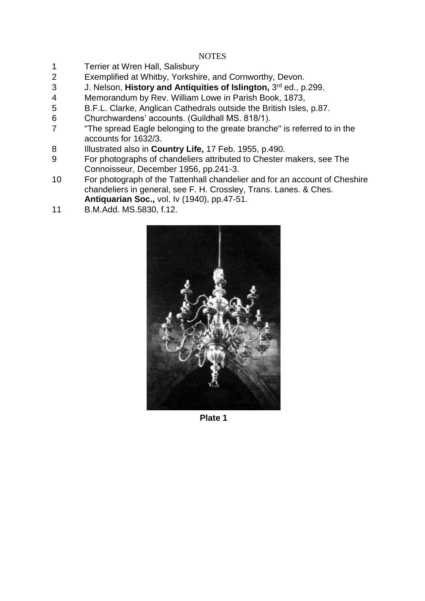## **NOTES**

- Terrier at Wren Hall, Salisbury
- Exemplified at Whitby, Yorkshire, and Cornworthy, Devon.
- J. Nelson, **History and Antiquities of Islington,** 3 rd ed., p.299.
- Memorandum by Rev. William Lowe in Parish Book, 1873,
- B.F.L. Clarke, Anglican Cathedrals outside the British Isles, p.87.
- Churchwardens' accounts. (Guildhall MS. 818/1).
- "The spread Eagle belonging to the greate branche" is referred to in the accounts for 1632/3.
- Illustrated also in **Country Life,** 17 Feb. 1955, p.490.
- For photographs of chandeliers attributed to Chester makers, see The Connoisseur, December 1956, pp.241-3.
- For photograph of the Tattenhall chandelier and for an account of Cheshire chandeliers in general, see F. H. Crossley, Trans. Lanes. & Ches.
- **Antiquarian Soc.,** vol. Iv (1940), pp.47-51.
- B.M.Add. MS.5830, f.12.



**Plate 1**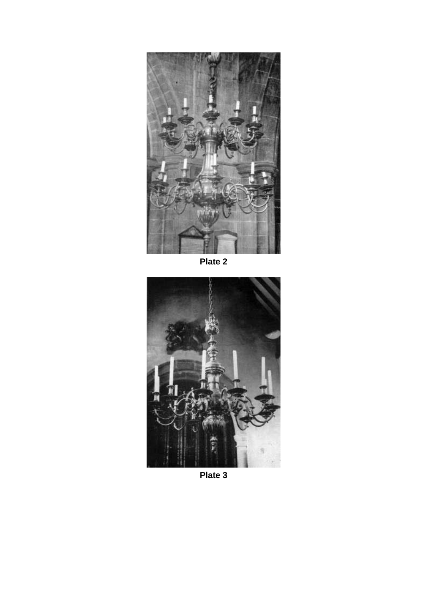

**Plate 2**



**Plate 3**